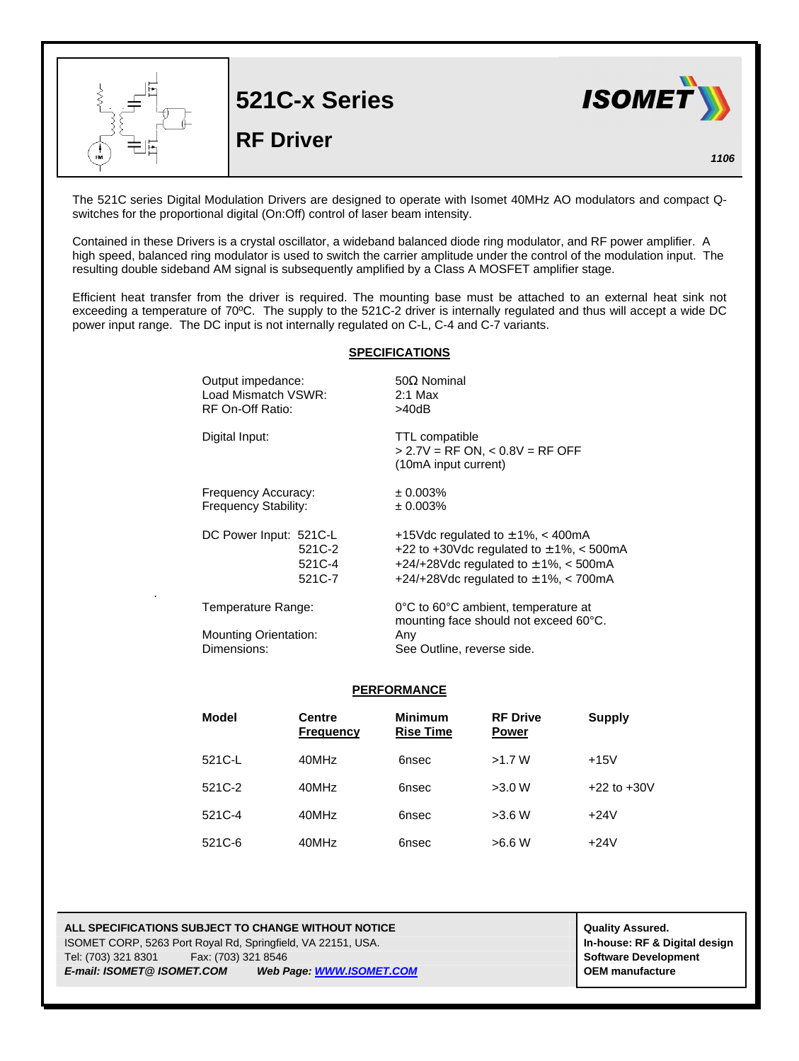

The 521C series Digital Modulation Drivers are designed to operate with Isomet 40MHz AO modulators and compact Qswitches for the proportional digital (On:Off) control of laser beam intensity.

Contained in these Drivers is a crystal oscillator, a wideband balanced diode ring modulator, and RF power amplifier. A high speed, balanced ring modulator is used to switch the carrier amplitude under the control of the modulation input. The resulting double sideband AM signal is subsequently amplified by a Class A MOSFET amplifier stage.

Efficient heat transfer from the driver is required. The mounting base must be attached to an external heat sink not exceeding a temperature of 70ºC. The supply to the 521C-2 driver is internally regulated and thus will accept a wide DC power input range. The DC input is not internally regulated on C-L, C-4 and C-7 variants.

## **SPECIFICATIONS**

| Output impedance:<br>Load Mismatch VSWR:<br>RF On-Off Ratio: | $50\Omega$ Nominal<br>$2:1$ Max<br>>40dB                                                                                                                                        |
|--------------------------------------------------------------|---------------------------------------------------------------------------------------------------------------------------------------------------------------------------------|
| Digital Input:                                               | TTL compatible<br>$> 2.7V = RF ON, < 0.8V = RF OFF$<br>(10mA input current)                                                                                                     |
| Frequency Accuracy:<br><b>Frequency Stability:</b>           | ± 0.003%<br>± 0.003%                                                                                                                                                            |
| DC Power Input: 521C-L<br>521C-2<br>521C-4<br>521C-7         | +15Vdc regulated to $\pm$ 1%, < 400mA<br>+22 to +30Vdc regulated to $\pm$ 1%, < 500mA<br>+24/+28Vdc regulated to $\pm$ 1%, < 500mA<br>+24/+28Vdc regulated to $\pm$ 1%, < 700mA |
| Temperature Range:                                           | 0°C to 60°C ambient, temperature at<br>mounting face should not exceed 60°C.                                                                                                    |
| <b>Mounting Orientation:</b>                                 | Any                                                                                                                                                                             |
| Dimensions:                                                  | See Outline, reverse side.                                                                                                                                                      |

## **PERFORMANCE**

| Model   | <b>Centre</b><br><b>Frequency</b> | <b>Minimum</b><br><b>Rise Time</b> | <b>RF Drive</b><br><b>Power</b> | Supply          |
|---------|-----------------------------------|------------------------------------|---------------------------------|-----------------|
| 521 C-L | 40MHz                             | 6nsec                              | >1.7 W                          | $+15V$          |
| 521C-2  | 40MHz                             | 6nsec                              | >3.0 W                          | $+22$ to $+30V$ |
| 521C-4  | 40MHz                             | 6nsec                              | >3.6 W                          | $+24V$          |
| 521C-6  | 40MHz                             | 6nsec                              | >6.6 W                          | $+24V$          |

## **ALL SPECIFICATIONS SUBJECT TO CHANGE WITHOUT NOTICE And CONTACT ASSURANT CONTRACT ASSURED.** ISOMET CORP, 5263 Port Royal Rd, Springfield, VA 22151, USA. **In-house: RF & Digital design**

.

Tel: (703) 321 8301 Fax: (703) 321 8546 **Software Development** *E-mail: ISOMET@ ISOMET.COM Web Page: WWW.ISOMET.COM* **OEM manufacture**